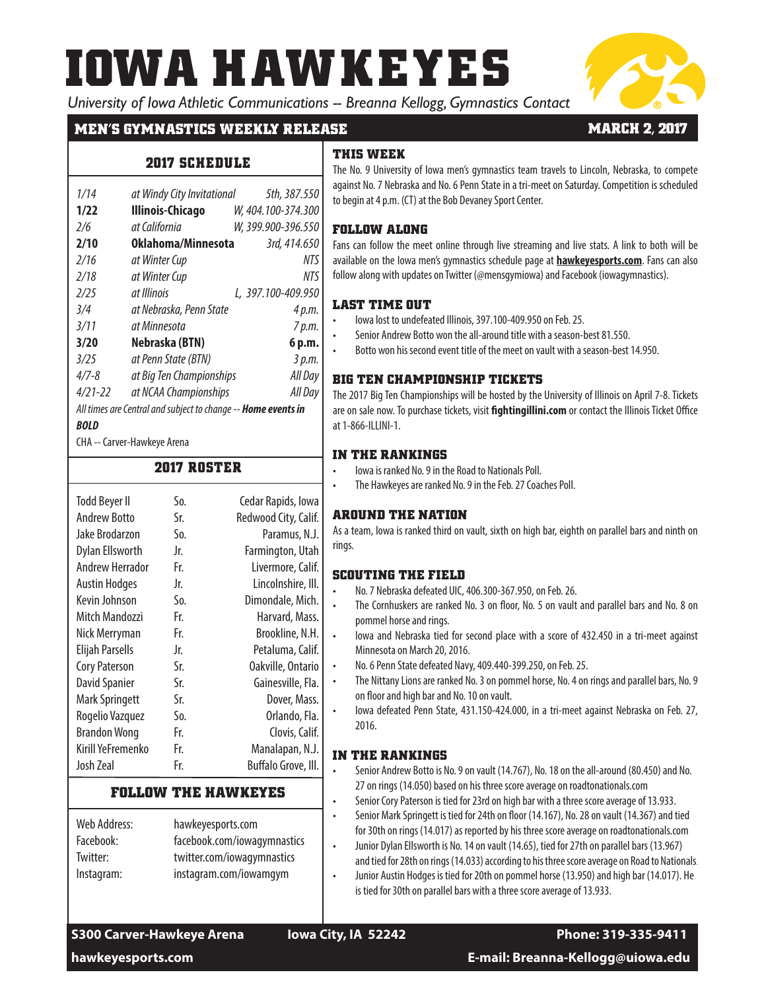# **IOWA HAWKEYES**

*University of Iowa Athletic Communications -- Breanna Kellogg, Gymnastics Contact*



## **MEN'S GYMNASTICS WEEKLY RELEASE**

**2017 SCHEDULE**

## **THIS WEEK**

| 1/14        | at Windy City Invitational                                           | 5th, 387.550       |
|-------------|----------------------------------------------------------------------|--------------------|
| 1/22        | <b>Illinois-Chicago</b>                                              | W, 404.100-374.300 |
| 2/6         | at California                                                        | W, 399.900-396.550 |
| 2/10        | Oklahoma/Minnesota                                                   | 3rd, 414.650       |
| 2/16        | at Winter Cup                                                        | NTS                |
| 2/18        | at Winter Cup                                                        | <b>NTS</b>         |
| 2/25        | at Illinois                                                          | L, 397.100-409.950 |
| 3/4         | at Nebraska, Penn State                                              | 4 p.m.             |
| 3/11        | at Minnesota                                                         | 7 p.m.             |
| 3/20        | Nebraska (BTN)                                                       | 6 p.m.             |
| 3/25        | at Penn State (BTN)                                                  | 3 p.m.             |
| $4/7 - 8$   | at Big Ten Championships                                             | All Day            |
| $4/21 - 22$ | at NCAA Championships                                                | All Day            |
|             | All times are Central and subject to change -- <b>Home events in</b> |                    |
| ROI D       |                                                                      |                    |

CHA -- Carver-Hawkeye Arena

### **2017 ROSTER**

| <b>Todd Beyer II</b>   | So. | Cedar Rapids, Iowa   |
|------------------------|-----|----------------------|
| <b>Andrew Botto</b>    | Sr. | Redwood City, Calif. |
| Jake Brodarzon         | So. | Paramus, N.J.        |
| <b>Dylan Ellsworth</b> | Jr. | Farmington, Utah     |
| <b>Andrew Herrador</b> | Fr. | Livermore, Calif.    |
| <b>Austin Hodges</b>   | Jr. | Lincolnshire, Ill.   |
| Kevin Johnson          | So. | Dimondale, Mich.     |
| Mitch Mandozzi         | Fr. | Harvard, Mass.       |
| Nick Merryman          | Fr. | Brookline, N.H.      |
| <b>Elijah Parsells</b> | Jr. | Petaluma, Calif.     |
| <b>Cory Paterson</b>   | Sr. | Oakville, Ontario    |
| <b>David Spanier</b>   | Sr. | Gainesville, Fla.    |
| <b>Mark Springett</b>  | Sr. | Dover, Mass.         |
| Rogelio Vazquez        | So. | Orlando, Fla.        |
| <b>Brandon Wong</b>    | Fr. | Clovis, Calif.       |
| Kirill YeFremenko      | Fr. | Manalapan, N.J.      |
| Josh Zeal              | Fr. | Buffalo Grove, Ill.  |

## **FOLLOW THE HAWKEYES**

| Web Address: | hawkeyesports.com           |
|--------------|-----------------------------|
| Facebook:    | facebook.com/iowagymnastics |
| Twitter:     | twitter.com/iowagymnastics  |
| Instagram:   | instagram.com/iowamgym      |

### The No. 9 University of Iowa men's gymnastics team travels to Lincoln, Nebraska, to compete against No. 7 Nebraska and No. 6 Penn State in a tri-meet on Saturday. Competition is scheduled to begin at 4 p.m. (CT) at the Bob Devaney Sport Center.

## **FOLLOW ALONG**

Fans can follow the meet online through live streaming and live stats. A link to both will be available on the Iowa men's gymnastics schedule page at **hawkeyesports.com**. Fans can also follow along with updates on Twitter (@mensgymiowa) and Facebook (iowagymnastics).

## **LAST TIME OUT**

- Iowa lost to undefeated Illinois, 397.100-409.950 on Feb. 25.
- Senior Andrew Botto won the all-around title with a season-best 81.550.
- Botto won his second event title of the meet on vault with a season-best 14.950.

## **BIG TEN CHAMPIONSHIP TICKETS**

The 2017 Big Ten Championships will be hosted by the University of Illinois on April 7-8. Tickets are on sale now. To purchase tickets, visit **fightingillini.com** or contact the Illinois Ticket Office at 1-866-ILLINI-1.

## **IN THE RANKINGS**

- Iowa is ranked No. 9 in the Road to Nationals Poll.
- The Hawkeyes are ranked No. 9 in the Feb. 27 Coaches Poll.

## **AROUND THE NATION**

As a team, Iowa is ranked third on vault, sixth on high bar, eighth on parallel bars and ninth on rings.

## **SCOUTING THE FIELD**

- No. 7 Nebraska defeated UIC, 406.300-367.950, on Feb. 26.
- The Cornhuskers are ranked No. 3 on floor, No. 5 on vault and parallel bars and No. 8 on pommel horse and rings.
- lowa and Nebraska tied for second place with a score of 432.450 in a tri-meet against Minnesota on March 20, 2016.
- No. 6 Penn State defeated Navy, 409.440-399.250, on Feb. 25.
- The Nittany Lions are ranked No. 3 on pommel horse, No. 4 on rings and parallel bars, No. 9 on floor and high bar and No. 10 on vault.
- Iowa defeated Penn State, 431.150-424.000, in a tri-meet against Nebraska on Feb. 27, 2016.

## **IN THE RANKINGS**

- Senior Andrew Botto is No. 9 on vault (14.767), No. 18 on the all-around (80.450) and No. 27 on rings (14.050) based on his three score average on roadtonationals.com
- Senior Cory Paterson is tied for 23rd on high bar with a three score average of 13.933.
- Senior Mark Springett is tied for 24th on floor (14.167), No. 28 on vault (14.367) and tied for 30th on rings (14.017) as reported by his three score average on roadtonationals.com
- Junior Dylan Ellsworth is No. 14 on vault (14.65), tied for 27th on parallel bars (13.967) and tied for 28th on rings (14.033) according to his three score average on Road to Nationals.
- Junior Austin Hodges is tied for 20th on pommel horse (13.950) and high bar (14.017). He is tied for 30th on parallel bars with a three score average of 13.933.

**S300 Carver-Hawkeye Arena Iowa City, IA 52242 Phone: 319-335-9411**